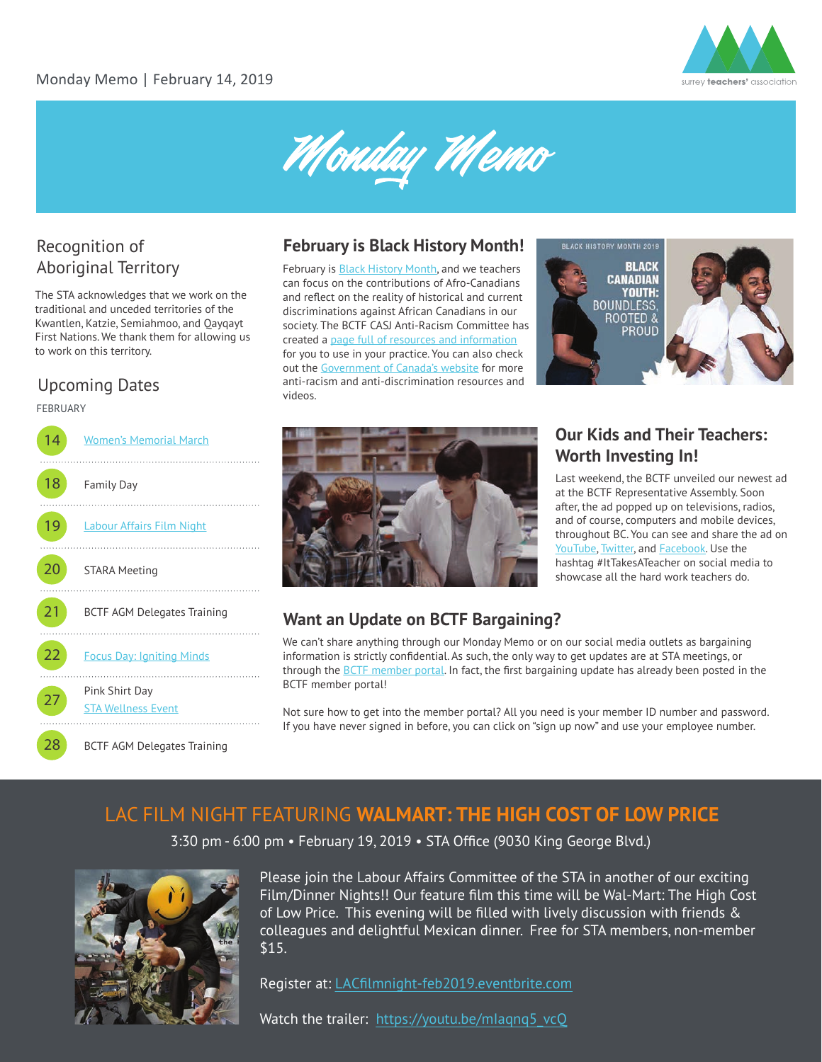



# Recognition of

The STA acknowledges that we work on the traditional and unceded territories of the Kwantlen, Katzie, Semiahmoo, and Qayqayt First Nations. We thank them for allowing us to work on this territory.

### Upcoming Dates

#### FEBRUARY



### **February is Black History Month!**

Aboriginal Territory February is [Black History Month](https://www.canada.ca/en/canadian-heritage/campaigns/black-history-month.html), and we teachers can focus on the contributions of Afro-Canadians and reflect on the reality of historical and current discriminations against African Canadians in our society. The BCTF CASJ Anti-Racism Committee has created a [page full of resources and information](http://www.bctf.ca/SocialJustice.aspx?id=17660) for you to use in your practice. You can also check out the [Government of Canada's website](https://www.canada.ca/en/canadian-heritage/campaigns/black-history-month.html) for more anti-racism and anti-discrimination resources and videos.





### **Our Kids and Their Teachers: Worth Investing In!**

Last weekend, the BCTF unveiled our newest ad at the BCTF Representative Assembly. Soon after, the ad popped up on televisions, radios, and of course, computers and mobile devices, throughout BC. You can see and share the ad on [YouTube](https://www.youtube.com/watch?v=DVVIjqoOKoA), [Twitter,](https://twitter.com/bctf/status/1092605148457721856) and [Facebook.](https://www.facebook.com/BCTeachersFederation/videos/398525167588442/) Use the hashtag #ItTakesATeacher on social media to showcase all the hard work teachers do.

### **Want an Update on BCTF Bargaining?**

We can't share anything through our Monday Memo or on our social media outlets as bargaining information is strictly confidential. As such, the only way to get updates are at STA meetings, or through the [BCTF member portal](https://www.bctf.ca/mybctf). In fact, the first bargaining update has already been posted in the BCTF member portal!

Not sure how to get into the member portal? All you need is your member ID number and password. If you have never signed in before, you can click on "sign up now" and use your employee number.

### LAC FILM NIGHT FEATURING **WALMART: THE HIGH COST OF LOW PRICE**

3:30 pm - 6:00 pm • February 19, 2019 • STA Office (9030 King George Blvd.)



Please join the Labour Affairs Committee of the STA in another of our exciting Film/Dinner Nights!! Our feature film this time will be Wal-Mart: The High Cost of Low Price. This evening will be filled with lively discussion with friends & colleagues and delightful Mexican dinner. Free for STA members, non-member \$15.

Register at: [LACfilmnight-feb2019.eventbrite.com](https://lacfilmnight-feb2019.eventbrite.ca)

Watch the trailer: https://youtu.be/mlaqnq5 vcQ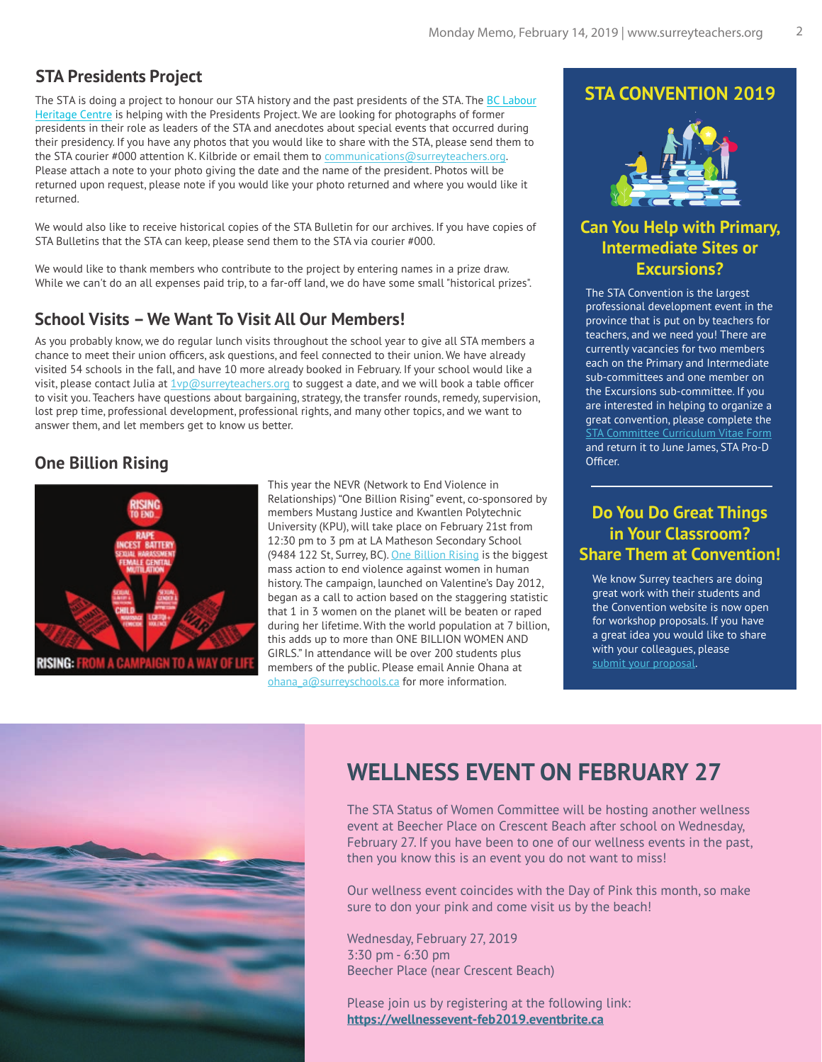### **STA Presidents Project**

The STA is doing a project to honour our STA history and the past presidents of the STA. The [BC Labour](www.labourheritagecentre.ca)  [Heritage Centre](www.labourheritagecentre.ca) is helping with the Presidents Project. We are looking for photographs of former presidents in their role as leaders of the STA and anecdotes about special events that occurred during their presidency. If you have any photos that you would like to share with the STA, please send them to the STA courier #000 attention K. Kilbride or email them to communications@surreyteachers.org. Please attach a note to your photo giving the date and the name of the president. Photos will be returned upon request, please note if you would like your photo returned and where you would like it returned.

We would also like to receive historical copies of the STA Bulletin for our archives. If you have copies of STA Bulletins that the STA can keep, please send them to the STA via courier #000.

We would like to thank members who contribute to the project by entering names in a prize draw. While we can't do an all expenses paid trip, to a far-off land, we do have some small "historical prizes".

### **School Visits – We Want To Visit All Our Members!**

As you probably know, we do regular lunch visits throughout the school year to give all STA members a chance to meet their union officers, ask questions, and feel connected to their union. We have already visited 54 schools in the fall, and have 10 more already booked in February. If your school would like a visit, please contact Julia at  $1$ vp@surreyteachers.org to suggest a date, and we will book a table officer to visit you. Teachers have questions about bargaining, strategy, the transfer rounds, remedy, supervision, lost prep time, professional development, professional rights, and many other topics, and we want to answer them, and let members get to know us better.

### **One Billion Rising**



This year the NEVR (Network to End Violence in Relationships) "One Billion Rising" event, co-sponsored by members Mustang Justice and Kwantlen Polytechnic University (KPU), will take place on February 21st from 12:30 pm to 3 pm at LA Matheson Secondary School (9484 122 St, Surrey, BC). [One Billion Rising](https://www.onebillionrising.org/) is the biggest mass action to end violence against women in human history. The campaign, launched on Valentine's Day 2012, began as a call to action based on the staggering statistic that 1 in 3 women on the planet will be beaten or raped during her lifetime. With the world population at 7 billion, this adds up to more than ONE BILLION WOMEN AND GIRLS." In attendance will be over 200 students plus members of the public. Please email Annie Ohana at ohana\_a@surreyschools.ca for more information.

### **STA CONVENTION 2019**



### **Can You Help with Primary, Intermediate Sites or Excursions?**

The STA Convention is the largest professional development event in the province that is put on by teachers for teachers, and we need you! There are currently vacancies for two members each on the Primary and Intermediate sub-committees and one member on the Excursions sub-committee. If you are interested in helping to organize a great convention, please complete the [STA Committee Curriculum Vitae Form](https://www.surreyteachers.org/wp-content/uploads/2018/07/CMT-STACV-Form.pdf) and return it to June James, STA Pro-D Officer.

### **Do You Do Great Things in Your Classroom? Share Them at Convention!**

We know Surrey teachers are doing great work with their students and the Convention website is now open for workshop proposals. If you have a great idea you would like to share with your colleagues, please [submit your proposal.](https://www.staconvention.ca/index.php?Page=WorkshopProposals)



### **WELLNESS EVENT ON FEBRUARY 27**

The STA Status of Women Committee will be hosting another wellness event at Beecher Place on Crescent Beach after school on Wednesday, February 27. If you have been to one of our wellness events in the past, then you know this is an event you do not want to miss!

Our wellness event coincides with the Day of Pink this month, so make sure to don your pink and come visit us by the beach!

Wednesday, February 27, 2019 3:30 pm - 6:30 pm Beecher Place (near Crescent Beach)

Please join us by registering at the following link: **https://wellnessevent-feb2019.eventbrite.ca**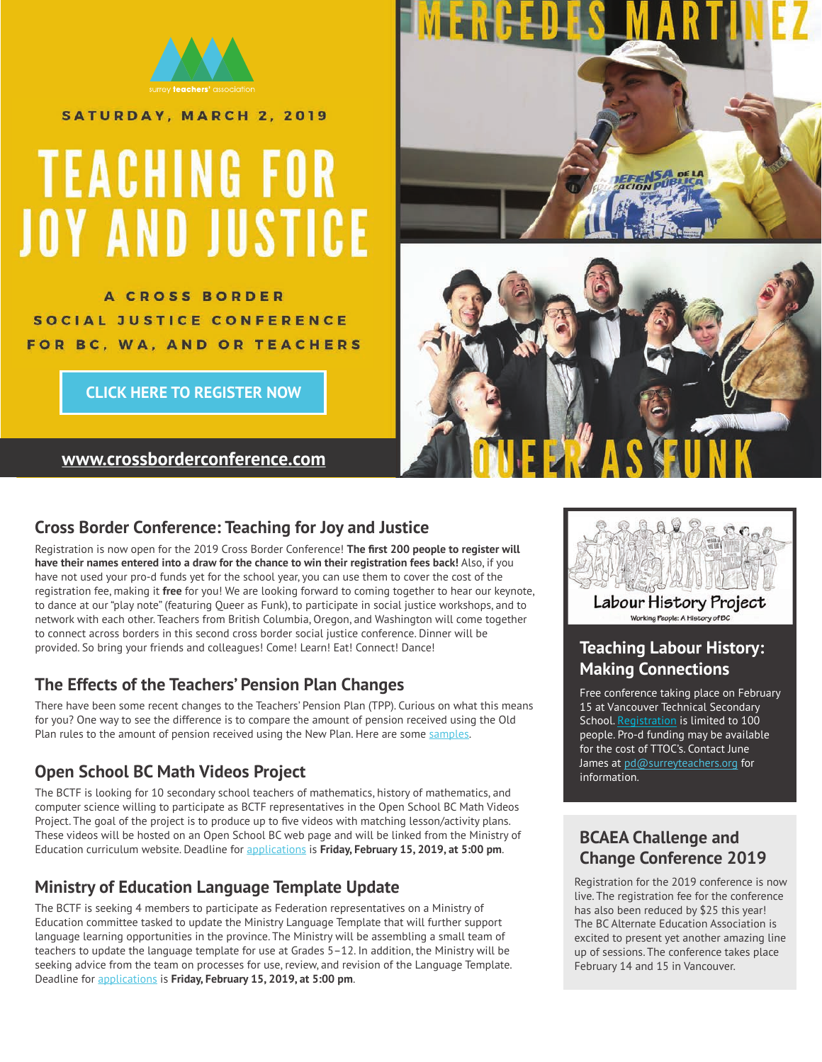

SATURDAY, MARCH 2, 2019

# **TEACHING FOR JOY AND JUSTICE**

**A CROSS BORDER** SOCIAL JUSTICE CONFERENCE FOR BC, WA, AND OR TEACHERS

**[CLICK HERE TO REGISTER NOW](https://crossborderconference2019.eventbrite.ca)**

**<www.crossborderconference.com>**



### **Cross Border Conference: Teaching for Joy and Justice**

Registration is now open for the 2019 Cross Border Conference! **The first 200 people to register will have their names entered into a draw for the chance to win their registration fees back!** Also, if you have not used your pro-d funds yet for the school year, you can use them to cover the cost of the registration fee, making it **free** for you! We are looking forward to coming together to hear our keynote, to dance at our "play note" (featuring Queer as Funk), to participate in social justice workshops, and to network with each other. Teachers from British Columbia, Oregon, and Washington will come together to connect across borders in this second cross border social justice conference. Dinner will be provided. So bring your friends and colleagues! Come! Learn! Eat! Connect! Dance! **Teaching Labour History:** 

### **The Effects of the Teachers' Pension Plan Changes**

There have been some recent changes to the Teachers' Pension Plan (TPP). Curious on what this means for you? One way to see the difference is to compare the amount of pension received using the Old Plan rules to the amount of pension received using the New Plan. Here are some [samples.](https://www.bctf.ca/uploadedFiles/Public/SalaryBenefits/Pensions/TPP_change_effects.pdf)

### **Open School BC Math Videos Project**

The BCTF is looking for 10 secondary school teachers of mathematics, history of mathematics, and computer science willing to participate as BCTF representatives in the Open School BC Math Videos Project. The goal of the project is to produce up to five videos with matching lesson/activity plans. These videos will be hosted on an Open School BC web page and will be linked from the Ministry of Education curriculum website. Deadline for [applications](https://www.bctf.ca/opportunities/MinistryCommittees.aspx) is **Friday, February 15, 2019, at 5:00 pm**.

### **Ministry of Education Language Template Update**

The BCTF is seeking 4 members to participate as Federation representatives on a Ministry of Education committee tasked to update the Ministry Language Template that will further support language learning opportunities in the province. The Ministry will be assembling a small team of teachers to update the language template for use at Grades 5–12. In addition, the Ministry will be seeking advice from the team on processes for use, review, and revision of the Language Template. Deadline for [applications](https://www.bctf.ca/opportunities/MinistryCommittees.aspx) is **Friday, February 15, 2019, at 5:00 pm**.



Labour History Project Working People: A History of BC

## **Making Connections**

Free conference taking place on February 15 at Vancouver Technical Secondary School. [Registration](https://www.eventbrite.ca/e/teaching-labour-history-making-connections-tickets-53330837972) is limited to 100 people. Pro-d funding may be available for the cost of TTOC's. Contact June James at pd@surreyteachers.org for information.

### **BCAEA Challenge and Change Conference 2019**

Registration for the 2019 conference is now live. The registration fee for the conference has also been reduced by \$25 this year! The BC Alternate Education Association is excited to present yet another amazing line up of sessions. The conference takes place February 14 and 15 in Vancouver.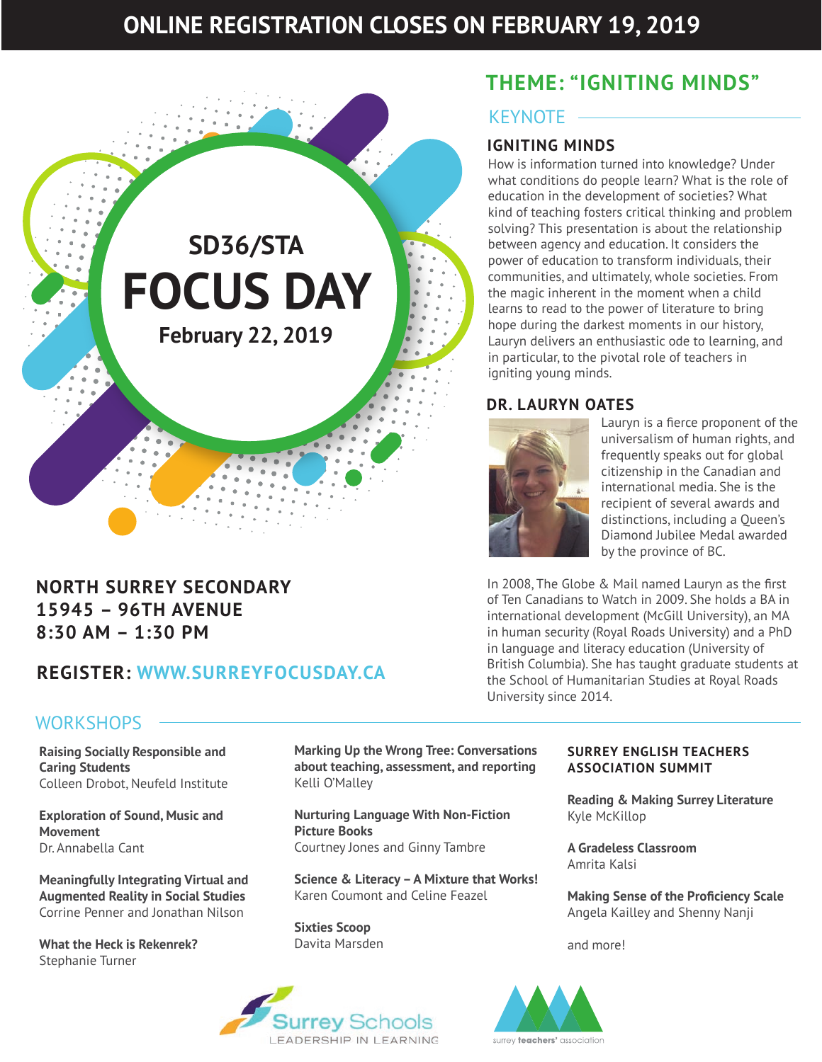### **ONLINE REGISTRATION CLOSES ON FEBRUARY 19, 2019**



### **NORTH SURREY SECONDARY 15945 – 96TH AVENUE 8:30 AM – 1:30 PM**

### **REGISTER: [WWW.SURREYFOCUSDAY.CA](www.surreyfocusday.ca)**

### **THEME: "IGNITING MINDS"**

### KEYNOTE

### **IGNITING MINDS**

How is information turned into knowledge? Under what conditions do people learn? What is the role of education in the development of societies? What kind of teaching fosters critical thinking and problem solving? This presentation is about the relationship between agency and education. It considers the power of education to transform individuals, their communities, and ultimately, whole societies. From the magic inherent in the moment when a child learns to read to the power of literature to bring hope during the darkest moments in our history, Lauryn delivers an enthusiastic ode to learning, and in particular, to the pivotal role of teachers in igniting young minds.

### **DR. LAURYN OATES**



Lauryn is a fierce proponent of the universalism of human rights, and frequently speaks out for global citizenship in the Canadian and international media. She is the recipient of several awards and distinctions, including a Queen's Diamond Jubilee Medal awarded by the province of BC.

In 2008, The Globe & Mail named Lauryn as the first of Ten Canadians to Watch in 2009. She holds a BA in international development (McGill University), an MA in human security (Royal Roads University) and a PhD in language and literacy education (University of British Columbia). She has taught graduate students at the School of Humanitarian Studies at Royal Roads University since 2014.

### **WORKSHOPS**

**Raising Socially Responsible and Caring Students** Colleen Drobot, Neufeld Institute

**Exploration of Sound, Music and Movement** Dr. Annabella Cant

**Meaningfully Integrating Virtual and Augmented Reality in Social Studies** Corrine Penner and Jonathan Nilson

**What the Heck is Rekenrek?** Stephanie Turner

**Marking Up the Wrong Tree: Conversations about teaching, assessment, and reporting** Kelli O'Malley

**Nurturing Language With Non-Fiction Picture Books**  Courtney Jones and Ginny Tambre

**Science & Literacy – A Mixture that Works!** Karen Coumont and Celine Feazel

**Sixties Scoop** Davita Marsden



#### **SURREY ENGLISH TEACHERS ASSOCIATION SUMMIT**

**Reading & Making Surrey Literature** Kyle McKillop

**A Gradeless Classroom** Amrita Kalsi

**Making Sense of the Proficiency Scale** Angela Kailley and Shenny Nanji

and more!